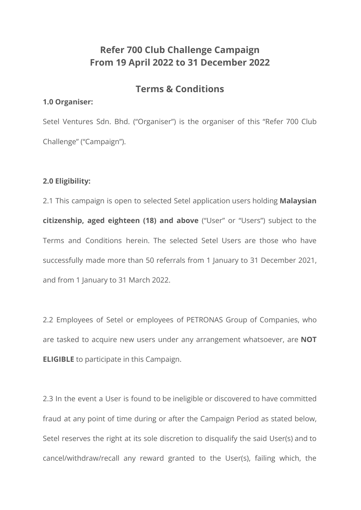# **Refer 700 Club Challenge Campaign From 19 April 2022 to 31 December 2022**

# **Terms & Conditions**

#### **1.0 Organiser:**

Setel Ventures Sdn. Bhd. ("Organiser") is the organiser of this "Refer 700 Club Challenge" ("Campaign").

## **2.0 Eligibility:**

2.1 This campaign is open to selected Setel application users holding **Malaysian citizenship, aged eighteen (18) and above** ("User" or "Users") subject to the Terms and Conditions herein. The selected Setel Users are those who have successfully made more than 50 referrals from 1 January to 31 December 2021, and from 1 January to 31 March 2022.

2.2 Employees of Setel or employees of PETRONAS Group of Companies, who are tasked to acquire new users under any arrangement whatsoever, are **NOT ELIGIBLE** to participate in this Campaign.

2.3 In the event a User is found to be ineligible or discovered to have committed fraud at any point of time during or after the Campaign Period as stated below, Setel reserves the right at its sole discretion to disqualify the said User(s) and to cancel/withdraw/recall any reward granted to the User(s), failing which, the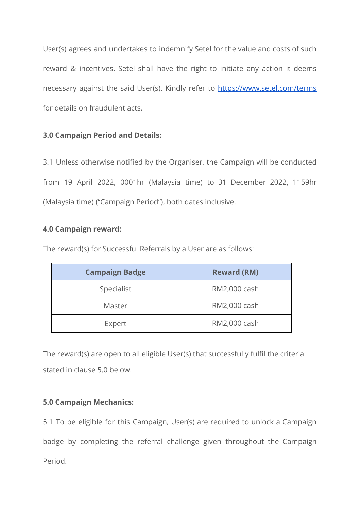User(s) agrees and undertakes to indemnify Setel for the value and costs of such reward & incentives. Setel shall have the right to initiate any action it deems necessary against the said User(s). Kindly refer to <https://www.setel.com/terms> for details on fraudulent acts.

## **3.0 Campaign Period and Details:**

3.1 Unless otherwise notified by the Organiser, the Campaign will be conducted from 19 April 2022, 0001hr (Malaysia time) to 31 December 2022, 1159hr (Malaysia time) ("Campaign Period"), both dates inclusive.

## **4.0 Campaign reward:**

The reward(s) for Successful Referrals by a User are as follows:

| <b>Campaign Badge</b> | <b>Reward (RM)</b> |
|-----------------------|--------------------|
| Specialist            | RM2,000 cash       |
| Master                | RM2,000 cash       |
| Expert                | RM2,000 cash       |

The reward(s) are open to all eligible User(s) that successfully fulfil the criteria stated in clause 5.0 below.

# **5.0 Campaign Mechanics:**

5.1 To be eligible for this Campaign, User(s) are required to unlock a Campaign badge by completing the referral challenge given throughout the Campaign Period.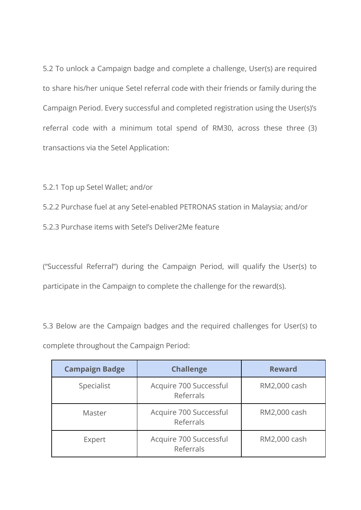5.2 To unlock a Campaign badge and complete a challenge, User(s) are required to share his/her unique Setel referral code with their friends or family during the Campaign Period. Every successful and completed registration using the User(s)'s referral code with a minimum total spend of RM30, across these three (3) transactions via the Setel Application:

5.2.1 Top up Setel Wallet; and/or

5.2.2 Purchase fuel at any Setel-enabled PETRONAS station in Malaysia; and/or

5.2.3 Purchase items with Setel's Deliver2Me feature

("Successful Referral") during the Campaign Period, will qualify the User(s) to participate in the Campaign to complete the challenge for the reward(s).

5.3 Below are the Campaign badges and the required challenges for User(s) to complete throughout the Campaign Period:

| <b>Campaign Badge</b> | <b>Challenge</b>                    | <b>Reward</b> |
|-----------------------|-------------------------------------|---------------|
| Specialist            | Acquire 700 Successful<br>Referrals | RM2,000 cash  |
| Master                | Acquire 700 Successful<br>Referrals | RM2,000 cash  |
| Expert                | Acquire 700 Successful<br>Referrals | RM2,000 cash  |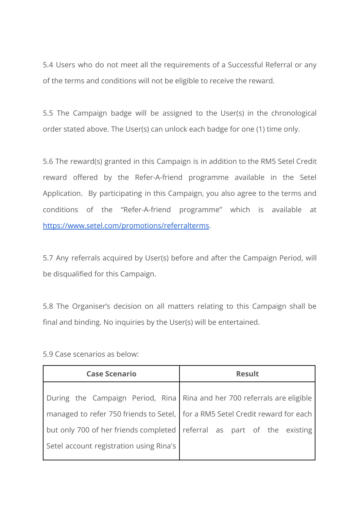5.4 Users who do not meet all the requirements of a Successful Referral or any of the terms and conditions will not be eligible to receive the reward.

5.5 The Campaign badge will be assigned to the User(s) in the chronological order stated above. The User(s) can unlock each badge for one (1) time only.

5.6 The reward(s) granted in this Campaign is in addition to the RM5 Setel Credit reward offered by the Refer-A-friend programme available in the Setel Application. By participating in this Campaign, you also agree to the terms and conditions of the "Refer-A-friend programme" which is available at <https://www.setel.com/promotions/referralterms>.

5.7 Any referrals acquired by User(s) before and after the Campaign Period, will be disqualified for this Campaign.

5.8 The Organiser's decision on all matters relating to this Campaign shall be final and binding. No inquiries by the User(s) will be entertained.

| <b>Case Scenario</b>                                                            | <b>Result</b>                                                                  |
|---------------------------------------------------------------------------------|--------------------------------------------------------------------------------|
| During the Campaign Period, Rina Rina and her 700 referrals are eligible        |                                                                                |
| managed to refer 750 friends to Setel,   for a RM5 Setel Credit reward for each |                                                                                |
|                                                                                 | but only 700 of her friends completed $\vert$ referral as part of the existing |
| Setel account registration using Rina's                                         |                                                                                |

5.9 Case scenarios as below: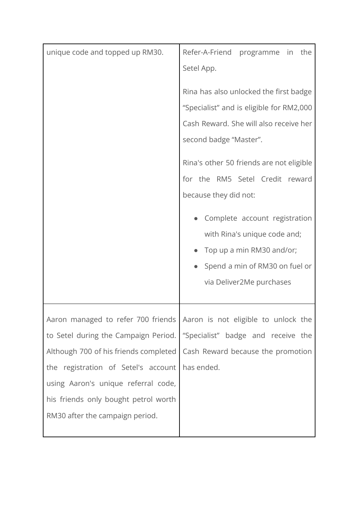| unique code and topped up RM30.                                                                                                                                                                                                        | Refer-A-Friend<br>programme in the<br>Setel App.<br>Rina has also unlocked the first badge<br>"Specialist" and is eligible for RM2,000                          |
|----------------------------------------------------------------------------------------------------------------------------------------------------------------------------------------------------------------------------------------|-----------------------------------------------------------------------------------------------------------------------------------------------------------------|
|                                                                                                                                                                                                                                        | Cash Reward. She will also receive her<br>second badge "Master".                                                                                                |
|                                                                                                                                                                                                                                        | Rina's other 50 friends are not eligible<br>for the RM5 Setel Credit reward<br>because they did not:                                                            |
|                                                                                                                                                                                                                                        | Complete account registration<br>with Rina's unique code and;<br>Top up a min RM30 and/or;<br>Spend a min of RM30 on fuel or<br>via Deliver2Me purchases        |
| to Setel during the Campaign Period.<br>Although 700 of his friends completed<br>the registration of Setel's account<br>using Aaron's unique referral code,<br>his friends only bought petrol worth<br>RM30 after the campaign period. | Aaron managed to refer 700 friends Aaron is not eligible to unlock the<br>"Specialist" badge and receive the<br>Cash Reward because the promotion<br>has ended. |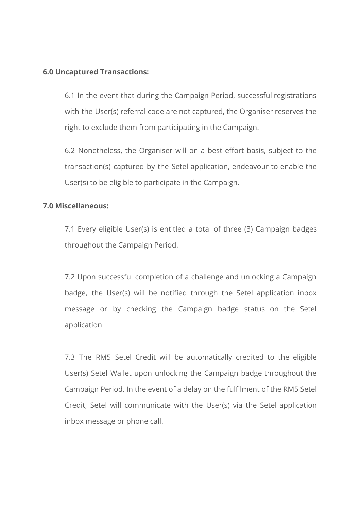### **6.0 Uncaptured Transactions:**

6.1 In the event that during the Campaign Period, successful registrations with the User(s) referral code are not captured, the Organiser reserves the right to exclude them from participating in the Campaign.

6.2 Nonetheless, the Organiser will on a best effort basis, subject to the transaction(s) captured by the Setel application, endeavour to enable the User(s) to be eligible to participate in the Campaign.

### **7.0 Miscellaneous:**

7.1 Every eligible User(s) is entitled a total of three (3) Campaign badges throughout the Campaign Period.

7.2 Upon successful completion of a challenge and unlocking a Campaign badge, the User(s) will be notified through the Setel application inbox message or by checking the Campaign badge status on the Setel application.

7.3 The RM5 Setel Credit will be automatically credited to the eligible User(s) Setel Wallet upon unlocking the Campaign badge throughout the Campaign Period. In the event of a delay on the fulfilment of the RM5 Setel Credit, Setel will communicate with the User(s) via the Setel application inbox message or phone call.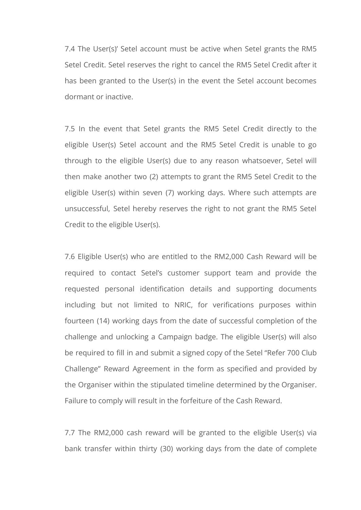7.4 The User(s)' Setel account must be active when Setel grants the RM5 Setel Credit. Setel reserves the right to cancel the RM5 Setel Credit after it has been granted to the User(s) in the event the Setel account becomes dormant or inactive.

7.5 In the event that Setel grants the RM5 Setel Credit directly to the eligible User(s) Setel account and the RM5 Setel Credit is unable to go through to the eligible User(s) due to any reason whatsoever, Setel will then make another two (2) attempts to grant the RM5 Setel Credit to the eligible User(s) within seven (7) working days. Where such attempts are unsuccessful, Setel hereby reserves the right to not grant the RM5 Setel Credit to the eligible User(s).

7.6 Eligible User(s) who are entitled to the RM2,000 Cash Reward will be required to contact Setel's customer support team and provide the requested personal identification details and supporting documents including but not limited to NRIC, for verifications purposes within fourteen (14) working days from the date of successful completion of the challenge and unlocking a Campaign badge. The eligible User(s) will also be required to fill in and submit a signed copy of the Setel "Refer 700 Club Challenge" Reward Agreement in the form as specified and provided by the Organiser within the stipulated timeline determined by the Organiser. Failure to comply will result in the forfeiture of the Cash Reward.

7.7 The RM2,000 cash reward will be granted to the eligible User(s) via bank transfer within thirty (30) working days from the date of complete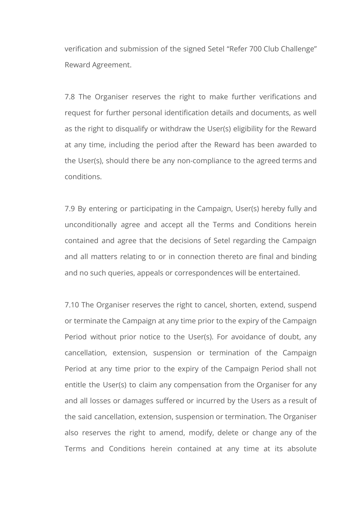verification and submission of the signed Setel "Refer 700 Club Challenge" Reward Agreement.

7.8 The Organiser reserves the right to make further verifications and request for further personal identification details and documents, as well as the right to disqualify or withdraw the User(s) eligibility for the Reward at any time, including the period after the Reward has been awarded to the User(s), should there be any non-compliance to the agreed terms and conditions.

7.9 By entering or participating in the Campaign, User(s) hereby fully and unconditionally agree and accept all the Terms and Conditions herein contained and agree that the decisions of Setel regarding the Campaign and all matters relating to or in connection thereto are final and binding and no such queries, appeals or correspondences will be entertained.

7.10 The Organiser reserves the right to cancel, shorten, extend, suspend or terminate the Campaign at any time prior to the expiry of the Campaign Period without prior notice to the User(s). For avoidance of doubt, any cancellation, extension, suspension or termination of the Campaign Period at any time prior to the expiry of the Campaign Period shall not entitle the User(s) to claim any compensation from the Organiser for any and all losses or damages suffered or incurred by the Users as a result of the said cancellation, extension, suspension or termination. The Organiser also reserves the right to amend, modify, delete or change any of the Terms and Conditions herein contained at any time at its absolute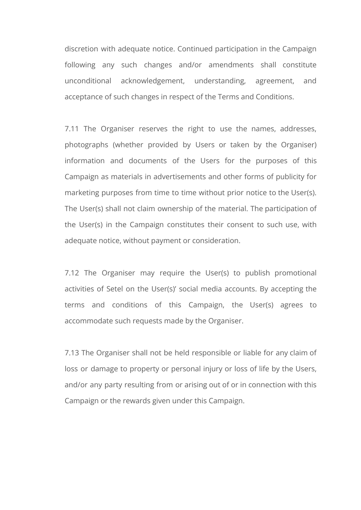discretion with adequate notice. Continued participation in the Campaign following any such changes and/or amendments shall constitute unconditional acknowledgement, understanding, agreement, and acceptance of such changes in respect of the Terms and Conditions.

7.11 The Organiser reserves the right to use the names, addresses, photographs (whether provided by Users or taken by the Organiser) information and documents of the Users for the purposes of this Campaign as materials in advertisements and other forms of publicity for marketing purposes from time to time without prior notice to the User(s). The User(s) shall not claim ownership of the material. The participation of the User(s) in the Campaign constitutes their consent to such use, with adequate notice, without payment or consideration.

7.12 The Organiser may require the User(s) to publish promotional activities of Setel on the User(s)' social media accounts. By accepting the terms and conditions of this Campaign, the User(s) agrees to accommodate such requests made by the Organiser.

7.13 The Organiser shall not be held responsible or liable for any claim of loss or damage to property or personal injury or loss of life by the Users, and/or any party resulting from or arising out of or in connection with this Campaign or the rewards given under this Campaign.